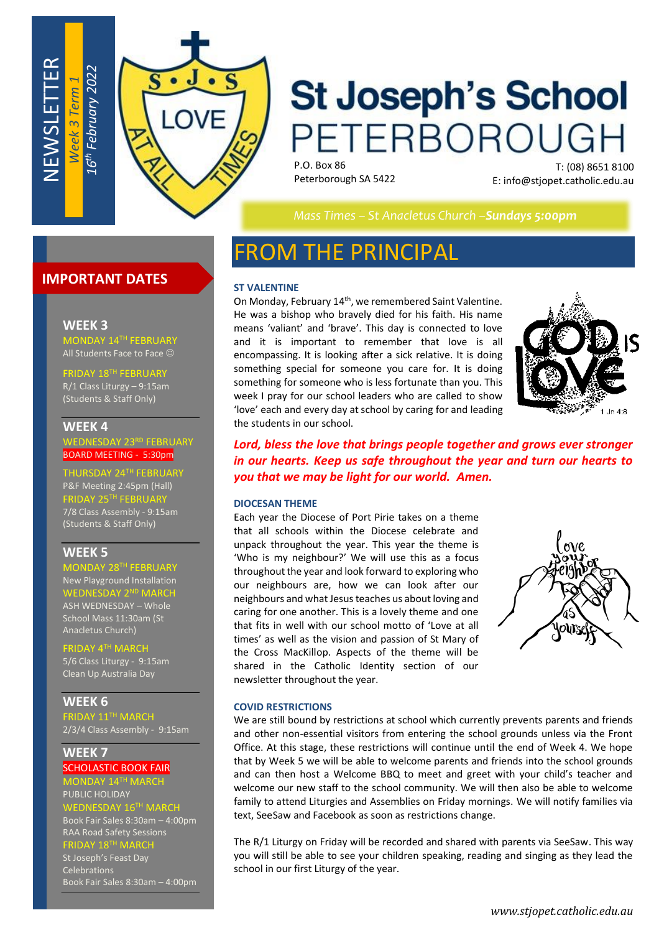

# **St Joseph's School** PETERBOROUGH

P.O. Box 86 Peterborough SA 5422

T: (08) 8651 8100 E: info@stjopet.catholic.edu.au

*Mass Times – St Anacletus Church –Sundays 5:00pm*

# **IMPORTANT DATES**

#### **WEEK 3**

NEWSLETTER

MONDAY 14TH FEBRUARY All Students Face to Face  $\odot$ 

IDAY 18TH FEBRUARY R/1 Class Liturgy – 9:15am (Students & Staff Only)

### **WEEK 4**

WEDNESDAY 23RD FEBRUARY BOARD MEETING - 5:30pm

RSDAY 24TH FEBRUA P&F Meeting 2:45pm (Hall) FRIDAY 25TH FEBRUARY 7/8 Class Assembly - 9:15am (Students & Staff Only)

# **WEEK 5**

MONDAY 28<sup>TH</sup> FEBRUAR' New Playground Installation WEDNESDAY 2ND MARCH ASH WEDNESDAY – Whole School Mass 11:30am (St Anacletus Church)

FRIDAY 4TH MARCI 5/6 Class Liturgy - 9:15am Clean Up Australia Day

**WEEK 6** FRIDAY 11TH MARCH 2/3/4 Class Assembly - 9:15am

**WEEK 7** SCHOLASTIC BOOK FAIR

MONDAY 14TH MARCH PUBLIC HOLIDAY

WEDNESDAY 16  $I$   $6$ <sup>TH</sup> MARCH Book Fair Sales 8:30am – 4:00pm

RAA Road Safety Sessions FRIDAY 18 TH MARCH

St Joseph's Feast Day Celebrations Book Fair Sales 8:30am – 4:00pm

# FROM THE PRINCIPAL

#### **ST VALENTINE**

On Monday, February 14<sup>th</sup>, we remembered Saint Valentine. He was a bishop who bravely died for his faith. His name means 'valiant' and 'brave'. This day is connected to love and it is important to remember that love is all encompassing. It is looking after a sick relative. It is doing something special for someone you care for. It is doing something for someone who is less fortunate than you. This week I pray for our school leaders who are called to show 'love' each and every day at school by caring for and leading the students in our school.



*Lord, bless the love that brings people together and grows ever stronger in our hearts. Keep us safe throughout the year and turn our hearts to you that we may be light for our world. Amen.*

#### **DIOCESAN THEME**

Each year the Diocese of Port Pirie takes on a theme that all schools within the Diocese celebrate and unpack throughout the year. This year the theme is 'Who is my neighbour?' We will use this as a focus throughout the year and look forward to exploring who our neighbours are, how we can look after our neighbours and what Jesus teaches us about loving and caring for one another. This is a lovely theme and one that fits in well with our school motto of 'Love at all times' as well as the vision and passion of St Mary of the Cross MacKillop. Aspects of the theme will be shared in the Catholic Identity section of our newsletter throughout the year.



#### **COVID RESTRICTIONS**

We are still bound by restrictions at school which currently prevents parents and friends and other non-essential visitors from entering the school grounds unless via the Front Office. At this stage, these restrictions will continue until the end of Week 4. We hope that by Week 5 we will be able to welcome parents and friends into the school grounds and can then host a Welcome BBQ to meet and greet with your child's teacher and welcome our new staff to the school community. We will then also be able to welcome family to attend Liturgies and Assemblies on Friday mornings. We will notify families via text, SeeSaw and Facebook as soon as restrictions change.

The R/1 Liturgy on Friday will be recorded and shared with parents via SeeSaw. This way you will still be able to see your children speaking, reading and singing as they lead the school in our first Liturgy of the year.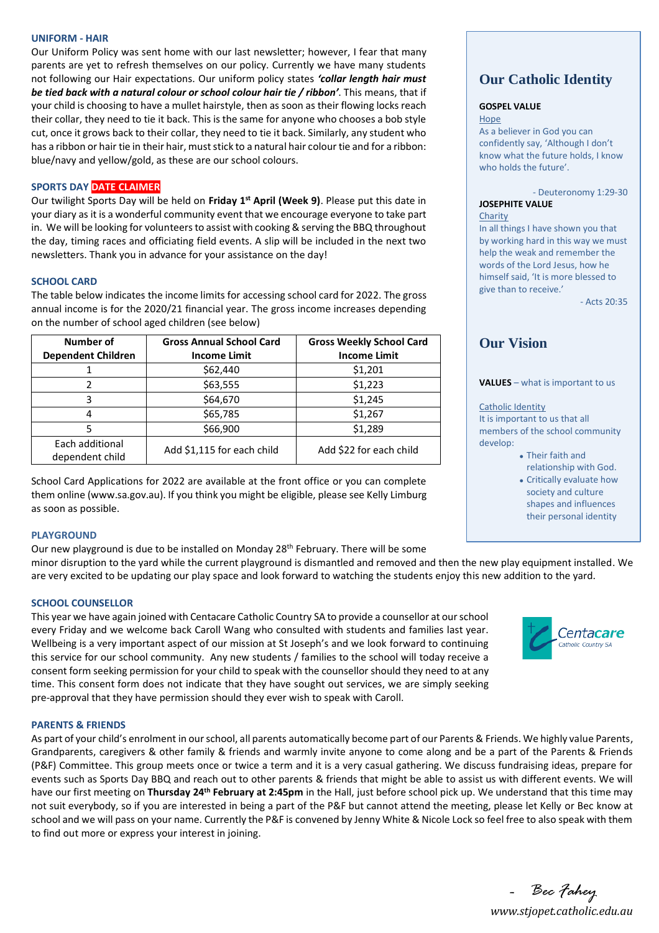#### **UNIFORM - HAIR**

Our Uniform Policy was sent home with our last newsletter; however, I fear that many parents are yet to refresh themselves on our policy. Currently we have many students not following our Hair expectations. Our uniform policy states *'collar length hair must be tied back with a natural colour or school colour hair tie / ribbon'*. This means, that if your child is choosing to have a mullet hairstyle, then as soon as their flowing locks reach their collar, they need to tie it back. This is the same for anyone who chooses a bob style cut, once it grows back to their collar, they need to tie it back. Similarly, any student who has a ribbon or hair tie in their hair, must stick to a natural hair colour tie and for a ribbon: blue/navy and yellow/gold, as these are our school colours.

### **SPORTS DAY DATE CLAIMER**

Our twilight Sports Day will be held on **Friday 1 st April (Week 9)**. Please put this date in your diary as it is a wonderful community event that we encourage everyone to take part in. We will be looking for volunteers to assist with cooking & serving the BBQ throughout the day, timing races and officiating field events. A slip will be included in the next two newsletters. Thank you in advance for your assistance on the day!

#### **SCHOOL CARD**

The table below indicates the income limits for accessing school card for 2022. The gross annual income is for the 2020/21 financial year. The gross income increases depending on the number of school aged children (see below)

| Number of<br><b>Dependent Children</b> | <b>Gross Annual School Card</b><br><b>Income Limit</b> | <b>Gross Weekly School Card</b><br><b>Income Limit</b> |
|----------------------------------------|--------------------------------------------------------|--------------------------------------------------------|
|                                        | \$62,440                                               | \$1,201                                                |
| 2                                      | \$63,555                                               | \$1,223                                                |
| 3                                      | \$64,670                                               | \$1,245                                                |
| 4                                      | \$65,785                                               | \$1,267                                                |
| 5                                      | \$66,900                                               | \$1,289                                                |
| Each additional<br>dependent child     | Add \$1,115 for each child                             | Add \$22 for each child                                |

School Card Applications for 2022 are available at the front office or you can complete them online (www.sa.gov.au). If you think you might be eligible, please see Kelly Limburg as soon as possible.

#### **PLAYGROUND**

Our new playground is due to be installed on Monday 28<sup>th</sup> February. There will be some minor disruption to the yard while the current playground is dismantled and removed and then the new play equipment installed. We are very excited to be updating our play space and look forward to watching the students enjoy this new addition to the yard.

#### **SCHOOL COUNSELLOR**

This year we have again joined with Centacare Catholic Country SA to provide a counsellor at our school every Friday and we welcome back Caroll Wang who consulted with students and families last year. Wellbeing is a very important aspect of our mission at St Joseph's and we look forward to continuing this service for our school community. Any new students / families to the school will today receive a consent form seeking permission for your child to speak with the counsellor should they need to at any time. This consent form does not indicate that they have sought out services, we are simply seeking pre-approval that they have permission should they ever wish to speak with Caroll.

#### **PARENTS & FRIENDS**

As part of your child's enrolment in our school, all parents automatically become part of our Parents & Friends. We highly value Parents, Grandparents, caregivers & other family & friends and warmly invite anyone to come along and be a part of the Parents & Friends (P&F) Committee. This group meets once or twice a term and it is a very casual gathering. We discuss fundraising ideas, prepare for events such as Sports Day BBQ and reach out to other parents & friends that might be able to assist us with different events. We will have our first meeting on **Thursday 24th February at 2:45pm** in the Hall, just before school pick up. We understand that this time may not suit everybody, so if you are interested in being a part of the P&F but cannot attend the meeting, please let Kelly or Bec know at school and we will pass on your name. Currently the P&F is convened by Jenny White & Nicole Lock so feel free to also speak with them to find out more or express your interest in joining.

# **Our Catholic Identity**

#### **GOSPEL VALUE**

Hope

As a believer in God you can confidently say, 'Although I don't know what the future holds, I know who holds the future'.

- Deuteronomy 1:29-30

#### **JOSEPHITE VALUE** Charity

In all things I have shown you that by working hard in this way we must help the weak and remember the words of the Lord Jesus, how he himself said, 'It is more blessed to give than to receive.'

 $-$  Acts  $20.35$ 

# **Our Vision**

**VALUES** – what is important to us

#### Catholic Identity

It is important to us that all members of the school community develop:

- Their faith and
- relationship with God.
- Critically evaluate how society and culture shapes and influences their personal identity



*www.stjopet.catholic.edu.au - Bec Fahey*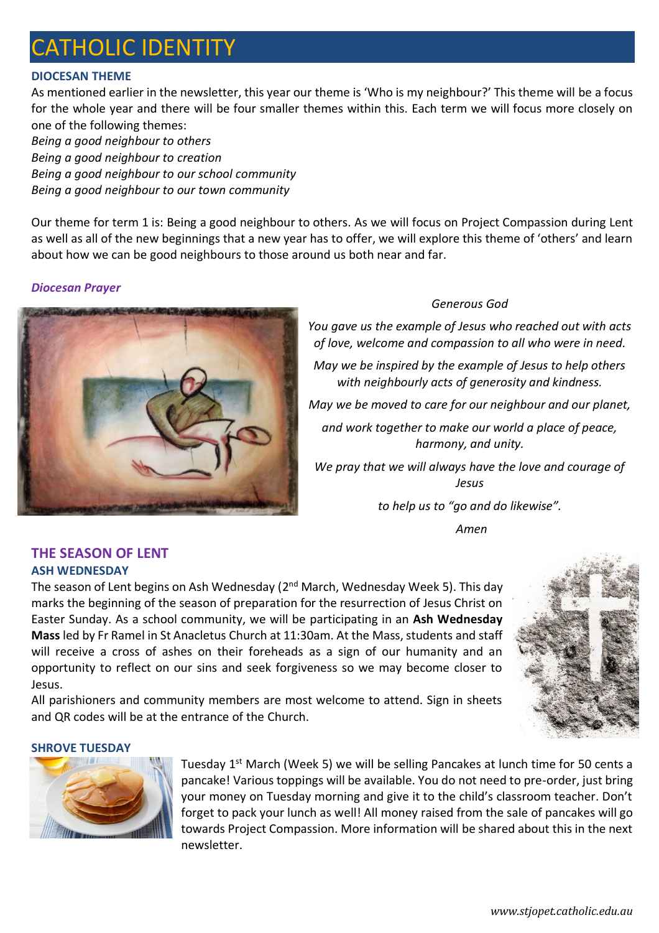# CATHOLIC IDENTITY

# **DIOCESAN THEME**

As mentioned earlier in the newsletter, this year our theme is 'Who is my neighbour?' This theme will be a focus for the whole year and there will be four smaller themes within this. Each term we will focus more closely on one of the following themes:

*Being a good neighbour to others Being a good neighbour to creation Being a good neighbour to our school community Being a good neighbour to our town community*

Our theme for term 1 is: Being a good neighbour to others. As we will focus on Project Compassion during Lent as well as all of the new beginnings that a new year has to offer, we will explore this theme of 'others' and learn about how we can be good neighbours to those around us both near and far.

# *Diocesan Prayer*



and QR codes will be at the entrance of the Church.

# *Generous God*

*You gave us the example of Jesus who reached out with acts of love, welcome and compassion to all who were in need.*

*May we be inspired by the example of Jesus to help others with neighbourly acts of generosity and kindness.*

*May we be moved to care for our neighbour and our planet,* 

*and work together to make our world a place of peace, harmony, and unity.*

*We pray that we will always have the love and courage of Jesus* 

*to help us to "go and do likewise".*

*Amen*

# **THE SEASON OF LENT ASH WEDNESDAY**

The season of Lent begins on Ash Wednesday (2<sup>nd</sup> March, Wednesday Week 5). This day marks the beginning of the season of preparation for the resurrection of Jesus Christ on Easter Sunday. As a school community, we will be participating in an **Ash Wednesday Mass** led by Fr Ramel in St Anacletus Church at 11:30am. At the Mass, students and staff will receive a cross of ashes on their foreheads as a sign of our humanity and an opportunity to reflect on our sins and seek forgiveness so we may become closer to Jesus.

All parishioners and community members are most welcome to attend. Sign in sheets



## **SHROVE TUESDAY**



Tuesday 1<sup>st</sup> March (Week 5) we will be selling Pancakes at lunch time for 50 cents a pancake! Various toppings will be available. You do not need to pre-order, just bring your money on Tuesday morning and give it to the child's classroom teacher. Don't forget to pack your lunch as well! All money raised from the sale of pancakes will go towards Project Compassion. More information will be shared about this in the next newsletter.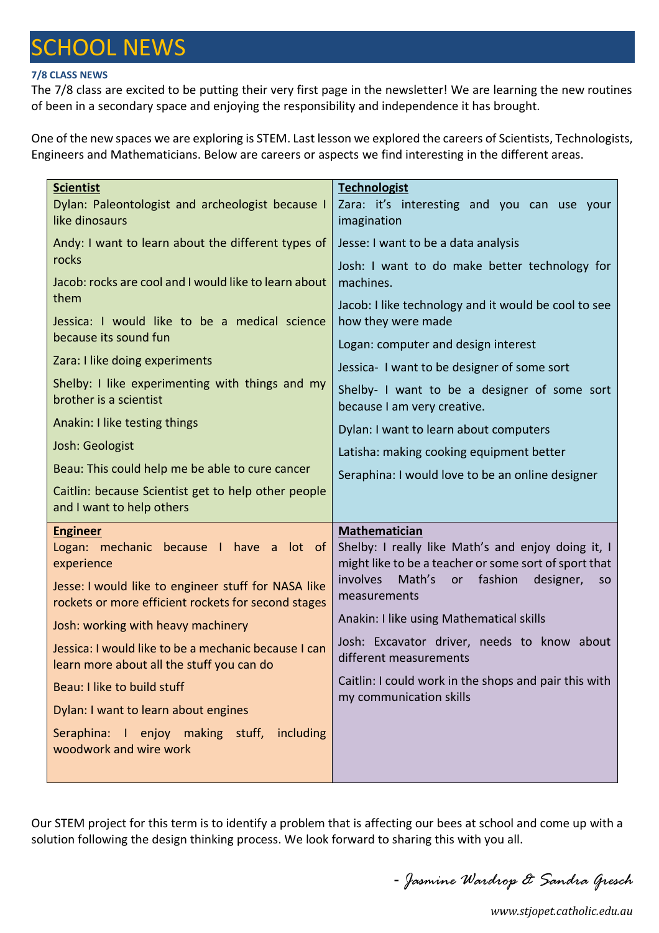# SCHOOL NEWS

# **7/8 CLASS NEWS**

The 7/8 class are excited to be putting their very first page in the newsletter! We are learning the new routines of been in a secondary space and enjoying the responsibility and independence it has brought.

One of the new spaces we are exploring is STEM. Last lesson we explored the careers of Scientists, Technologists, Engineers and Mathematicians. Below are careers or aspects we find interesting in the different areas.

| <b>Scientist</b>                                                          | <b>Technologist</b>                                                        |  |  |
|---------------------------------------------------------------------------|----------------------------------------------------------------------------|--|--|
| Dylan: Paleontologist and archeologist because I                          | Zara: it's interesting and you can use your                                |  |  |
| like dinosaurs                                                            | imagination                                                                |  |  |
| Andy: I want to learn about the different types of<br>rocks               | Jesse: I want to be a data analysis                                        |  |  |
|                                                                           | Josh: I want to do make better technology for                              |  |  |
| Jacob: rocks are cool and I would like to learn about<br>them             | machines.                                                                  |  |  |
| Jessica: I would like to be a medical science                             | Jacob: I like technology and it would be cool to see<br>how they were made |  |  |
| because its sound fun                                                     |                                                                            |  |  |
| Zara: I like doing experiments                                            | Logan: computer and design interest                                        |  |  |
|                                                                           | Jessica- I want to be designer of some sort                                |  |  |
| Shelby: I like experimenting with things and my<br>brother is a scientist | Shelby- I want to be a designer of some sort                               |  |  |
| Anakin: I like testing things                                             | because I am very creative.                                                |  |  |
|                                                                           | Dylan: I want to learn about computers                                     |  |  |
| Josh: Geologist                                                           | Latisha: making cooking equipment better                                   |  |  |
| Beau: This could help me be able to cure cancer                           | Seraphina: I would love to be an online designer                           |  |  |
| Caitlin: because Scientist get to help other people                       |                                                                            |  |  |
| and I want to help others                                                 |                                                                            |  |  |
| <b>Engineer</b><br>Logan: mechanic because I have a lot of                | Mathematician<br>Shelby: I really like Math's and enjoy doing it, I        |  |  |
| experience                                                                | might like to be a teacher or some sort of sport that                      |  |  |
| Jesse: I would like to engineer stuff for NASA like                       | <i>involves</i><br>Math's<br>fashion<br>designer,<br>or<br><b>SO</b>       |  |  |
| rockets or more efficient rockets for second stages                       | measurements                                                               |  |  |
| Josh: working with heavy machinery                                        | Anakin: I like using Mathematical skills                                   |  |  |
| Jessica: I would like to be a mechanic because I can                      | Josh: Excavator driver, needs to know about                                |  |  |
| learn more about all the stuff you can do                                 | different measurements                                                     |  |  |
| Beau: I like to build stuff                                               | Caitlin: I could work in the shops and pair this with                      |  |  |
| Dylan: I want to learn about engines                                      | my communication skills                                                    |  |  |
| Seraphina: I enjoy making stuff,<br>including                             |                                                                            |  |  |
| woodwork and wire work                                                    |                                                                            |  |  |
|                                                                           |                                                                            |  |  |

Our STEM project for this term is to identify a problem that is affecting our bees at school and come up with a solution following the design thinking process. We look forward to sharing this with you all.

- *Jasmine Wardrop & Sandra Gresch*

*www.stjopet.catholic.edu.au*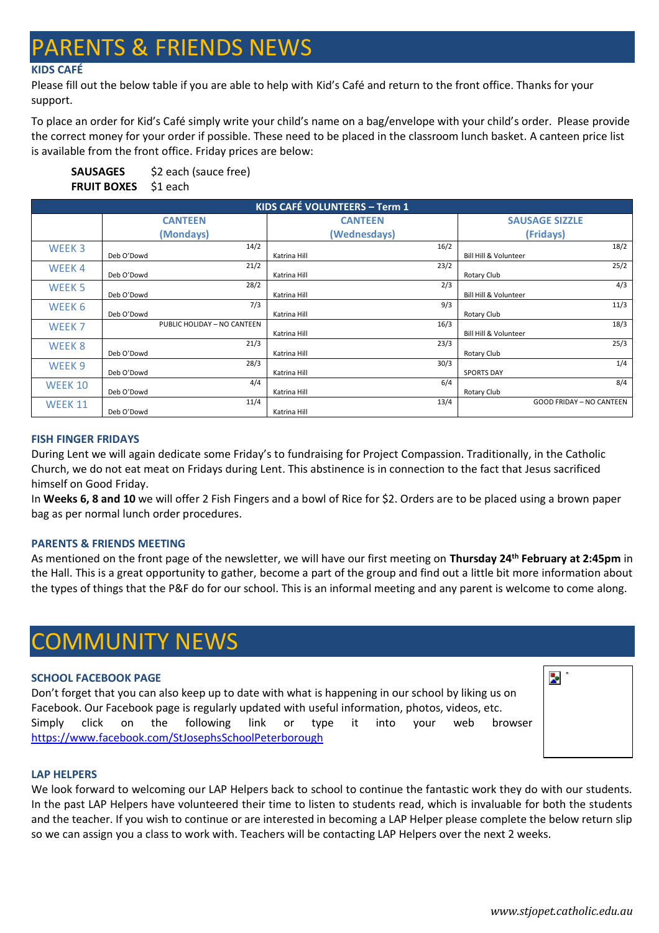# **RENTS & FRIENDS NEWS**

# **KIDS CAFÉ**

Please fill out the below table if you are able to help with Kid's Café and return to the front office. Thanks for your support.

To place an order for Kid's Café simply write your child's name on a bag/envelope with your child's order. Please provide the correct money for your order if possible. These need to be placed in the classroom lunch basket. A canteen price list is available from the front office. Friday prices are below:

| SAUSAGES                    | \$2 each (sauce free) |
|-----------------------------|-----------------------|
| <b>FRUIT BOXES</b> \$1 each |                       |

| <b>KIDS CAFÉ VOLUNTEERS - Term 1</b> |                |                             |                |              |                                  |                                 |
|--------------------------------------|----------------|-----------------------------|----------------|--------------|----------------------------------|---------------------------------|
|                                      | <b>CANTEEN</b> |                             | <b>CANTEEN</b> |              | <b>SAUSAGE SIZZLE</b>            |                                 |
|                                      |                | (Mondays)                   |                | (Wednesdays) |                                  | (Fridays)                       |
| WEEK <sub>3</sub>                    |                | 14/2                        |                | 16/2         |                                  | 18/2                            |
|                                      | Deb O'Dowd     | 21/2                        | Katrina Hill   | 23/2         | Bill Hill & Volunteer            | 25/2                            |
| WEEK4                                | Deb O'Dowd     |                             | Katrina Hill   |              | Rotary Club                      |                                 |
| WEEK <sub>5</sub>                    |                | 28/2                        |                | 2/3          |                                  | 4/3                             |
|                                      | Deb O'Dowd     |                             | Katrina Hill   |              | Bill Hill & Volunteer            |                                 |
| WEEK 6                               |                | 7/3                         |                | 9/3          |                                  | 11/3                            |
|                                      | Deb O'Dowd     |                             | Katrina Hill   |              | Rotary Club                      |                                 |
| WEEK <sub>7</sub>                    |                | PUBLIC HOLIDAY - NO CANTEEN |                | 16/3         |                                  | 18/3                            |
|                                      |                |                             | Katrina Hill   |              | <b>Bill Hill &amp; Volunteer</b> |                                 |
| WEEK 8                               |                | 21/3                        |                | 23/3         |                                  | 25/3                            |
|                                      | Deb O'Dowd     |                             | Katrina Hill   |              | Rotary Club                      |                                 |
| WEEK <sub>9</sub>                    |                | 28/3                        |                | 30/3         |                                  | 1/4                             |
|                                      | Deb O'Dowd     |                             | Katrina Hill   |              | <b>SPORTS DAY</b>                |                                 |
| WEEK 10                              |                | 4/4                         |                | 6/4          |                                  | 8/4                             |
|                                      | Deb O'Dowd     |                             | Katrina Hill   |              | Rotary Club                      |                                 |
| <b>WEEK 11</b>                       |                | 11/4                        |                | 13/4         |                                  | <b>GOOD FRIDAY - NO CANTEEN</b> |
|                                      | Deb O'Dowd     |                             | Katrina Hill   |              |                                  |                                 |

## **FISH FINGER FRIDAYS**

During Lent we will again dedicate some Friday's to fundraising for Project Compassion. Traditionally, in the Catholic Church, we do not eat meat on Fridays during Lent. This abstinence is in connection to the fact that Jesus sacrificed himself on Good Friday.

In **Weeks 6, 8 and 10** we will offer 2 Fish Fingers and a bowl of Rice for \$2. Orders are to be placed using a brown paper bag as per normal lunch order procedures.

## **PARENTS & FRIENDS MEETING**

As mentioned on the front page of the newsletter, we will have our first meeting on **Thursday 24th February at 2:45pm** in the Hall. This is a great opportunity to gather, become a part of the group and find out a little bit more information about the types of things that the P&F do for our school. This is an informal meeting and any parent is welcome to come along.

# COMMUNITY NEWS

## **SCHOOL FACEBOOK PAGE**

Don't forget that you can also keep up to date with what is happening in our school by liking us on Facebook. Our Facebook page is regularly updated with useful information, photos, videos, etc. Simply click on the following link or type it into your web browser <https://www.facebook.com/StJosephsSchoolPeterborough>



## **LAP HELPERS**

We look forward to welcoming our LAP Helpers back to school to continue the fantastic work they do with our students. In the past LAP Helpers have volunteered their time to listen to students read, which is invaluable for both the students and the teacher. If you wish to continue or are interested in becoming a LAP Helper please complete the below return slip so we can assign you a class to work with. Teachers will be contacting LAP Helpers over the next 2 weeks.